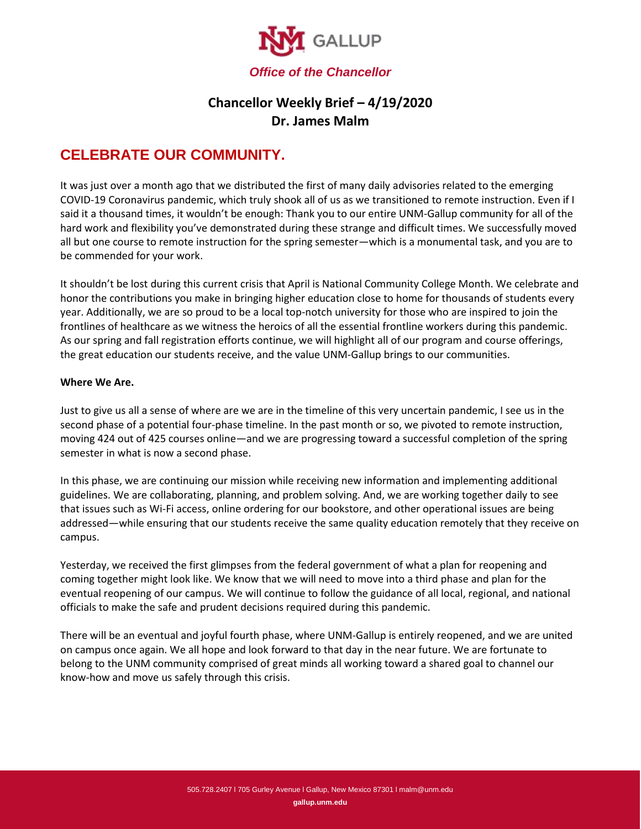

## **Chancellor Weekly Brief – 4/19/2020 Dr. James Malm**

## **CELEBRATE OUR COMMUNITY.**

It was just over a month ago that we distributed the first of many daily advisories related to the emerging COVID-19 Coronavirus pandemic, which truly shook all of us as we transitioned to remote instruction. Even if I said it a thousand times, it wouldn't be enough: Thank you to our entire UNM-Gallup community for all of the hard work and flexibility you've demonstrated during these strange and difficult times. We successfully moved all but one course to remote instruction for the spring semester—which is a monumental task, and you are to be commended for your work.

It shouldn't be lost during this current crisis that April is National Community College Month. We celebrate and honor the contributions you make in bringing higher education close to home for thousands of students every year. Additionally, we are so proud to be a local top-notch university for those who are inspired to join the frontlines of healthcare as we witness the heroics of all the essential frontline workers during this pandemic. As our spring and fall registration efforts continue, we will highlight all of our program and course offerings, the great education our students receive, and the value UNM-Gallup brings to our communities.

## **Where We Are.**

Just to give us all a sense of where are we are in the timeline of this very uncertain pandemic, I see us in the second phase of a potential four-phase timeline. In the past month or so, we pivoted to remote instruction, moving 424 out of 425 courses online—and we are progressing toward a successful completion of the spring semester in what is now a second phase.

In this phase, we are continuing our mission while receiving new information and implementing additional guidelines. We are collaborating, planning, and problem solving. And, we are working together daily to see that issues such as Wi-Fi access, online ordering for our bookstore, and other operational issues are being addressed—while ensuring that our students receive the same quality education remotely that they receive on campus.

Yesterday, we received the first glimpses from the federal government of what a plan for reopening and coming together might look like. We know that we will need to move into a third phase and plan for the eventual reopening of our campus. We will continue to follow the guidance of all local, regional, and national officials to make the safe and prudent decisions required during this pandemic.

There will be an eventual and joyful fourth phase, where UNM-Gallup is entirely reopened, and we are united on campus once again. We all hope and look forward to that day in the near future. We are fortunate to belong to the UNM community comprised of great minds all working toward a shared goal to channel our know-how and move us safely through this crisis.